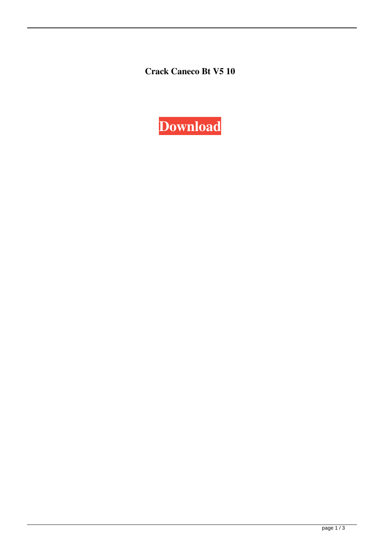**Crack Caneco Bt V5 10**

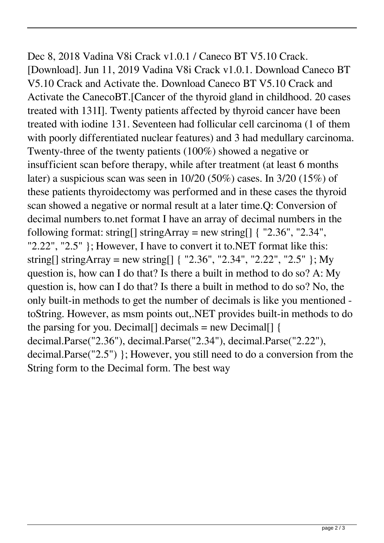Dec 8, 2018 Vadina V8i Crack v1.0.1 / Caneco BT V5.10 Crack. [Download]. Jun 11, 2019 Vadina V8i Crack v1.0.1. Download Caneco BT V5.10 Crack and Activate the. Download Caneco BT V5.10 Crack and Activate the CanecoBT.[Cancer of the thyroid gland in childhood. 20 cases treated with 131I]. Twenty patients affected by thyroid cancer have been treated with iodine 131. Seventeen had follicular cell carcinoma (1 of them with poorly differentiated nuclear features) and 3 had medullary carcinoma. Twenty-three of the twenty patients (100%) showed a negative or insufficient scan before therapy, while after treatment (at least 6 months later) a suspicious scan was seen in 10/20 (50%) cases. In 3/20 (15%) of these patients thyroidectomy was performed and in these cases the thyroid scan showed a negative or normal result at a later time.Q: Conversion of decimal numbers to.net format I have an array of decimal numbers in the following format: string[] stringArray = new string[]  $\{$  "2.36", "2.34", "2.22", "2.5" }; However, I have to convert it to.NET format like this: string[] stringArray = new string[] { "2.36", "2.34", "2.22", "2.5" }; My question is, how can I do that? Is there a built in method to do so? A: My question is, how can I do that? Is there a built in method to do so? No, the only built-in methods to get the number of decimals is like you mentioned toString. However, as msm points out,.NET provides built-in methods to do the parsing for you. Decimal $\lceil \cdot \rceil$  decimals = new Decimal $\lceil \cdot \rceil$ decimal.Parse("2.36"), decimal.Parse("2.34"), decimal.Parse("2.22"), decimal.Parse("2.5") }; However, you still need to do a conversion from the String form to the Decimal form. The best way